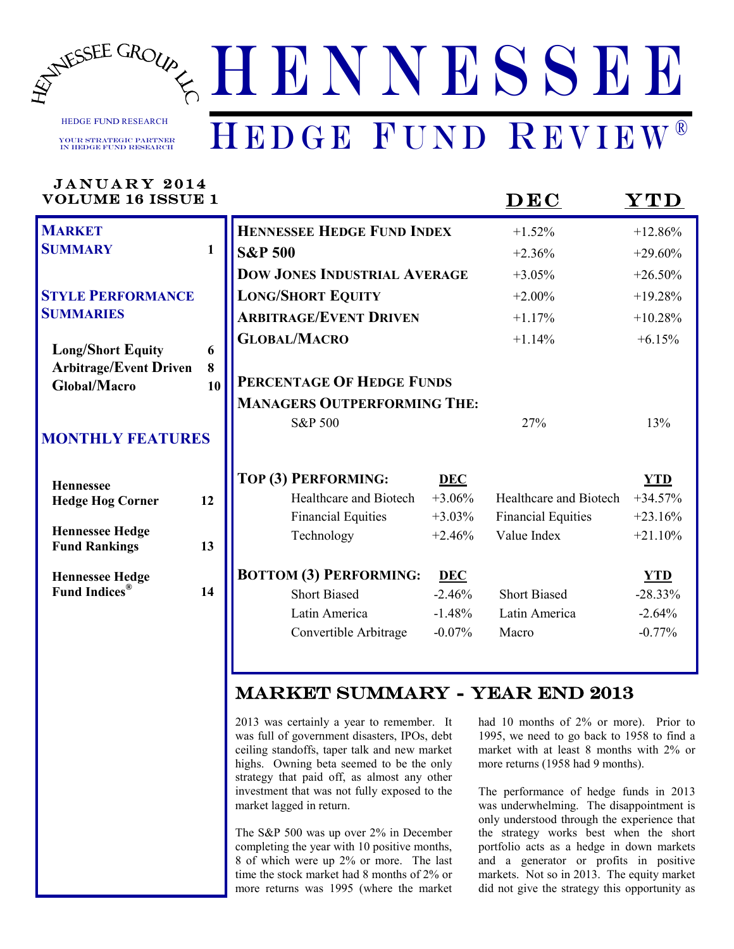

HEDGE FUND RESEARCH

Your Strategic Partner in Hedge Fund RESEARCH

## *WWW.HENNESSEEGROUP.COM* H E N N E S S E E HEDGE FUND REVIEW®

| JANUARY 2014<br><b>VOLUME 16 ISSUE 1</b>             |              |                                         |                      | $\overline{\mathbf{D}\mathbf{E}\mathbf{C}}$ | $\bold{YTD}$           |
|------------------------------------------------------|--------------|-----------------------------------------|----------------------|---------------------------------------------|------------------------|
| <b>MARKET</b>                                        |              | <b>HENNESSEE HEDGE FUND INDEX</b>       |                      | $+1.52%$                                    | $+12.86%$              |
| <b>SUMMARY</b>                                       | $\mathbf{1}$ | <b>S&amp;P 500</b>                      |                      | $+2.36%$                                    | $+29.60%$              |
|                                                      |              | <b>DOW JONES INDUSTRIAL AVERAGE</b>     |                      | $+3.05%$                                    | $+26.50%$              |
| <b>STYLE PERFORMANCE</b>                             |              | <b>LONG/SHORT EQUITY</b>                |                      | $+2.00%$                                    | $+19.28%$              |
| <b>SUMMARIES</b>                                     |              | <b>ARBITRAGE/EVENT DRIVEN</b>           |                      | $+1.17%$                                    | $+10.28%$              |
| <b>Long/Short Equity</b>                             | 6            | <b>GLOBAL/MACRO</b>                     |                      | $+1.14%$                                    | $+6.15%$               |
| <b>Arbitrage/Event Driven</b><br><b>Global/Macro</b> | 8<br>10      | PERCENTAGE OF HEDGE FUNDS               |                      |                                             |                        |
|                                                      |              | <b>MANAGERS OUTPERFORMING THE:</b>      |                      |                                             |                        |
| <b>MONTHLY FEATURES</b>                              |              | S&P 500                                 |                      | 27%                                         | 13%                    |
| <b>Hennessee</b>                                     |              | TOP (3) PERFORMING:                     | <b>DEC</b>           |                                             | <b>YTD</b>             |
| <b>Hedge Hog Corner</b>                              | 12           | Healthcare and Biotech                  | $+3.06%$             | Healthcare and Biotech                      | $+34.57%$              |
| <b>Hennessee Hedge</b>                               |              | <b>Financial Equities</b><br>Technology | $+3.03%$<br>$+2.46%$ | <b>Financial Equities</b><br>Value Index    | $+23.16%$<br>$+21.10%$ |
| <b>Fund Rankings</b>                                 | 13           |                                         |                      |                                             |                        |
| <b>Hennessee Hedge</b>                               |              | <b>BOTTOM (3) PERFORMING:</b>           | <b>DEC</b>           |                                             | <b>YTD</b>             |
| <b>Fund Indices</b> <sup>®</sup>                     | 14           | <b>Short Biased</b>                     | $-2.46%$             | <b>Short Biased</b>                         | $-28.33%$              |
|                                                      |              | Latin America                           | $-1.48%$             | Latin America                               | $-2.64%$               |
|                                                      |              | Convertible Arbitrage                   | $-0.07%$             | Macro                                       | $-0.77%$               |
|                                                      |              |                                         |                      |                                             |                        |
|                                                      |              | <b>MARKET SUMMARY - YEAR END 2013</b>   |                      |                                             |                        |

H N Y N Y

HEDGE FUND REVIEWS

2013 was certainly a year to remember. It was full of government disasters, IPOs, debt ceiling standoffs, taper talk and new market highs. Owning beta seemed to be the only strategy that paid off, as almost any other investment that was not fully exposed to the market lagged in return.

The S&P 500 was up over 2% in December completing the year with 10 positive months, 8 of which were up 2% or more. The last time the stock market had 8 months of 2% or more returns was 1995 (where the market had 10 months of 2% or more). Prior to 1995, we need to go back to 1958 to find a market with at least 8 months with 2% or more returns (1958 had 9 months).

The performance of hedge funds in 2013 was underwhelming. The disappointment is only understood through the experience that the strategy works best when the short portfolio acts as a hedge in down markets and a generator or profits in positive markets. Not so in 2013. The equity market did not give the strategy this opportunity as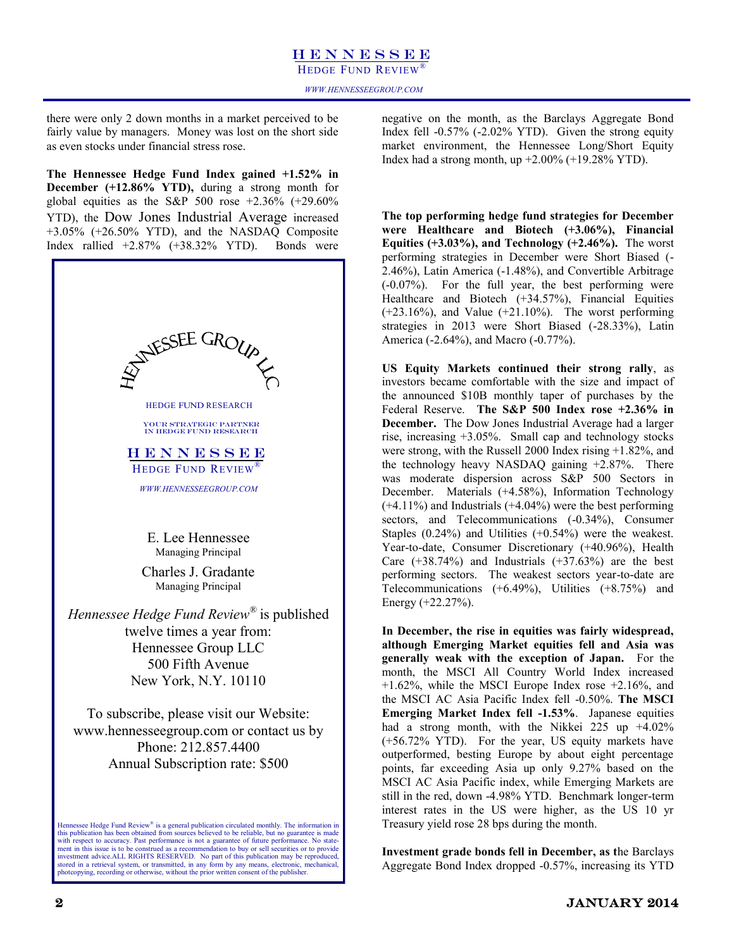### H E N N E S S E E HEDGE FUND REVIEW

there were only 2 down months in a market perceived to be fairly value by managers. Money was lost on the short side as even stocks under financial stress rose.

**The Hennessee Hedge Fund Index gained +1.52% in December (+12.86% YTD),** during a strong month for global equities as the S&P 500 rose  $+2.36\%$  ( $+29.60\%$ ) YTD), the Dow Jones Industrial Average increased +3.05% (+26.50% YTD), and the NASDAQ Composite Index rallied +2.87% (+38.32% YTD). Bonds were



negative on the month, as the Barclays Aggregate Bond Index fell -0.57% (-2.02% YTD). Given the strong equity market environment, the Hennessee Long/Short Equity Index had a strong month, up  $+2.00\%$  ( $+19.28\%$  YTD).

**The top performing hedge fund strategies for December were Healthcare and Biotech (+3.06%), Financial Equities (+3.03%), and Technology (+2.46%).** The worst performing strategies in December were Short Biased (- 2.46%), Latin America (-1.48%), and Convertible Arbitrage (-0.07%). For the full year, the best performing were Healthcare and Biotech (+34.57%), Financial Equities (+23.16%), and Value (+21.10%).The worst performing strategies in 2013 were Short Biased (-28.33%), Latin America (-2.64%), and Macro (-0.77%).

**US Equity Markets continued their strong rally**, as investors became comfortable with the size and impact of the announced \$10B monthly taper of purchases by the Federal Reserve. **The S&P 500 Index rose +2.36% in December.** The Dow Jones Industrial Average had a larger rise, increasing +3.05%. Small cap and technology stocks were strong, with the Russell 2000 Index rising +1.82%, and the technology heavy NASDAQ gaining +2.87%. There was moderate dispersion across S&P 500 Sectors in December. Materials (+4.58%), Information Technology  $(+4.11\%)$  and Industrials  $(+4.04\%)$  were the best performing sectors, and Telecommunications (-0.34%), Consumer Staples (0.24%) and Utilities (+0.54%) were the weakest. Year-to-date, Consumer Discretionary (+40.96%), Health Care  $(+38.74%)$  and Industrials  $(+37.63%)$  are the best performing sectors. The weakest sectors year-to-date are Telecommunications (+6.49%), Utilities (+8.75%) and Energy (+22.27%).

**In December, the rise in equities was fairly widespread, although Emerging Market equities fell and Asia was generally weak with the exception of Japan.** For the month, the MSCI All Country World Index increased +1.62%, while the MSCI Europe Index rose +2.16%, and the MSCI AC Asia Pacific Index fell -0.50%. **The MSCI Emerging Market Index fell -1.53%**. Japanese equities had a strong month, with the Nikkei 225 up  $+4.02\%$ (+56.72% YTD). For the year, US equity markets have outperformed, besting Europe by about eight percentage points, far exceeding Asia up only 9.27% based on the MSCI AC Asia Pacific index, while Emerging Markets are still in the red, down -4.98% YTD. Benchmark longer-term interest rates in the US were higher, as the US 10 yr Treasury yield rose 28 bps during the month.

**Investment grade bonds fell in December, as t**he Barclays Aggregate Bond Index dropped -0.57%, increasing its YTD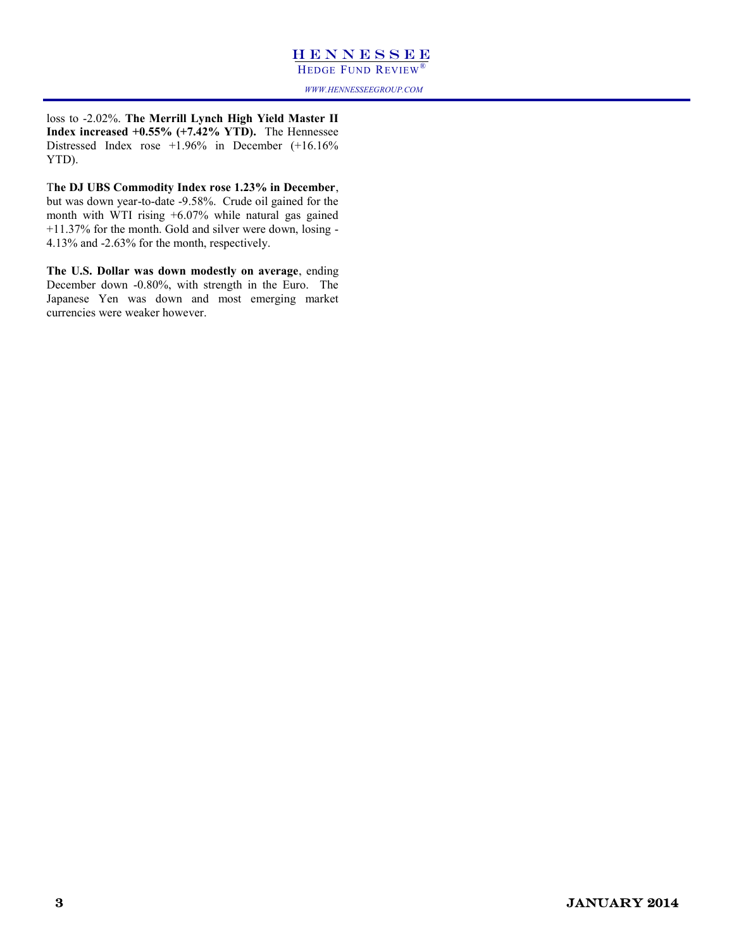HEDGE FUND REVIEW®

*WWW.HENNESSEEGROUP.COM*

loss to -2.02%. **The Merrill Lynch High Yield Master II Index increased +0.55% (+7.42% YTD).** The Hennessee Distressed Index rose +1.96% in December (+16.16% YTD).

T**he DJ UBS Commodity Index rose 1.23% in December**, but was down year-to-date -9.58%. Crude oil gained for the month with WTI rising +6.07% while natural gas gained +11.37% for the month. Gold and silver were down, losing - 4.13% and -2.63% for the month, respectively.

**The U.S. Dollar was down modestly on average**, ending December down -0.80%, with strength in the Euro. The Japanese Yen was down and most emerging market currencies were weaker however.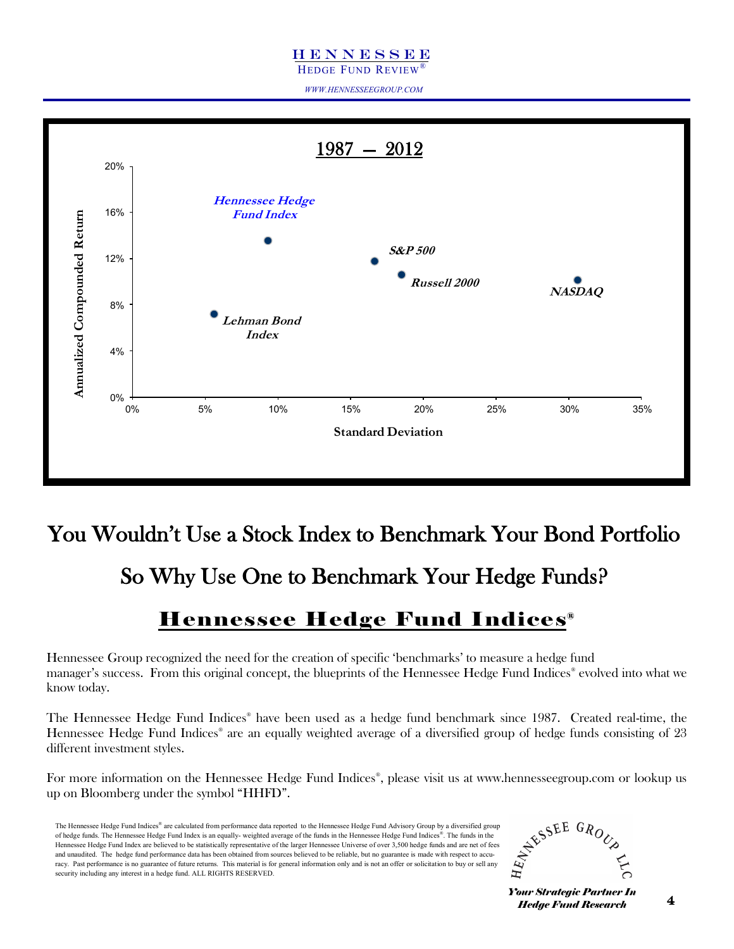HEDGE FUND REVIEW®

*WWW.HENNESSEEGROUP.COM*



### You Wouldn"t Use a Stock Index to Benchmark Your Bond Portfolio

So Why Use One to Benchmark Your Hedge Funds?

### Hennessee Hedge Fund Indices ®

Hennessee Group recognized the need for the creation of specific "benchmarks" to measure a hedge fund manager's success. From this original concept, the blueprints of the Hennessee Hedge Fund Indices® evolved into what we know today.

The Hennessee Hedge Fund Indices® have been used as a hedge fund benchmark since 1987. Created real-time, the Hennessee Hedge Fund Indices® are an equally weighted average of a diversified group of hedge funds consisting of 23 different investment styles.

For more information on the Hennessee Hedge Fund Indices® , please visit us at www.hennesseegroup.com or lookup us up on Bloomberg under the symbol "HHFD".

The Hennessee Hedge Fund Indices® are calculated from performance data reported to the Hennessee Hedge Fund Advisory Group by a diversified group of hedge funds. The Hennessee Hedge Fund Index is an equally- weighted average of the funds in the Hennessee Hedge Fund Indices® . The funds in the Hennessee Hedge Fund Index are believed to be statistically representative of the larger Hennessee Universe of over 3,500 hedge funds and are net of fees and unaudited. The hedge fund performance data has been obtained from sources believed to be reliable, but no guarantee is made with respect to accuracy. Past performance is no guarantee of future returns. This material is for general information only and is not an offer or solicitation to buy or sell any security including any interest in a hedge fund. ALL RIGHTS RESERVED.

$$
\hat{z}^{\xi^{\xi^{\xi^{\xi^{\xi E E G_{\mathcal{R}_{O_{\zeta_{\xi}}}}}}}}}
$$

*Your Strategic Partner In Hedge Fund Research*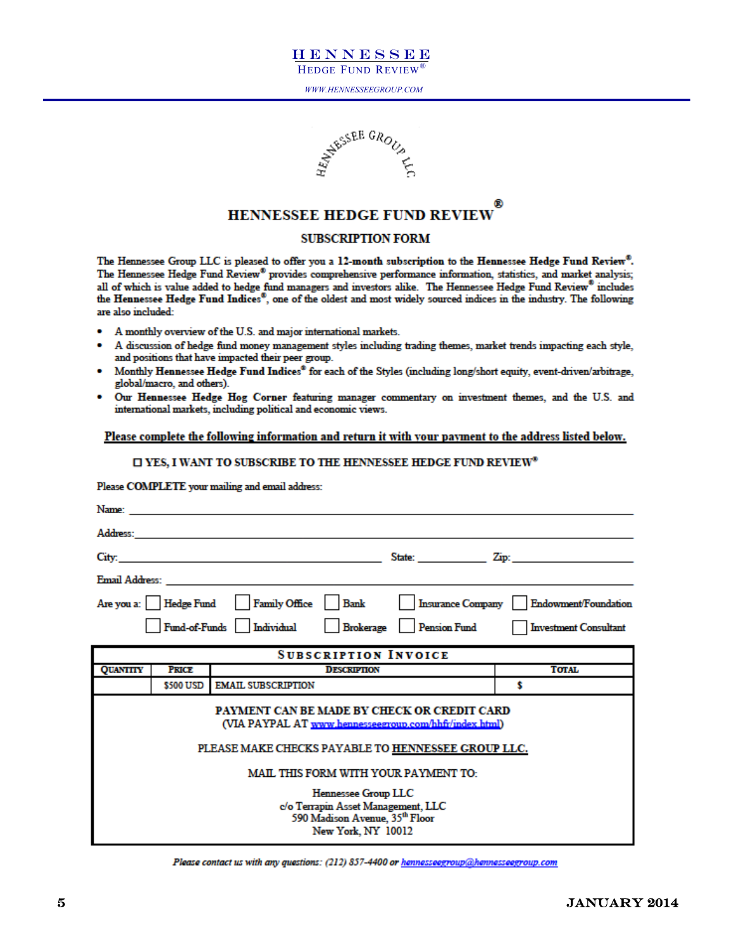



### **HENNESSEE HEDGE FUND REVIEW**

### **SUBSCRIPTION FORM**

The Hennessee Group LLC is pleased to offer you a 12-month subscription to the Hennessee Hedge Fund Review®. The Hennessee Hedge Fund Review® provides comprehensive performance information, statistics, and market analysis; all of which is value added to hedge fund managers and investors alike. The Hennessee Hedge Fund Review® includes the Hennessee Hedge Fund Indices<sup>®</sup>, one of the oldest and most widely sourced indices in the industry. The following are also included:

- A monthly overview of the U.S. and major international markets.
- A discussion of hedge fund money management styles including trading themes, market trends impacting each style, and positions that have impacted their peer group.
- Monthly Hennessee Hedge Fund Indices® for each of the Styles (including long/short equity, event-driven/arbitrage, global/macro, and others).
- Our Hennessee Hedge Hog Corner featuring manager commentary on investment themes, and the U.S. and international markets, including political and economic views.

### Please complete the following information and return it with your payment to the address listed below.

### □ YES, I WANT TO SUBSCRIBE TO THE HENNESSEE HEDGE FUND REVIEW<sup>®</sup>

### Please COMPLETE your mailing and email address:

| Name:           |              |                                                                                                                                                             |                          |                              |
|-----------------|--------------|-------------------------------------------------------------------------------------------------------------------------------------------------------------|--------------------------|------------------------------|
| Address:        |              |                                                                                                                                                             |                          |                              |
| City:           |              |                                                                                                                                                             |                          | State: Zip: Zip:             |
| Email Address:  |              |                                                                                                                                                             |                          |                              |
|                 |              | Are you a:   Hedge Fund   Family Office   Bank                                                                                                              | <b>Insurance Company</b> | Endowment/Foundation         |
|                 |              | Fund-of-Funds   Individual                                                                                                                                  | Brokerage Pension Fund   | <b>Investment Consultant</b> |
|                 |              | <b>SUBSCRIPTION INVOICE</b>                                                                                                                                 |                          |                              |
| <b>QUANTITY</b> | <b>PRICE</b> | <b>DESCRIPTION</b>                                                                                                                                          |                          | <b>TOTAL</b>                 |
|                 | \$500 USD    | <b>EMAIL SUBSCRIPTION</b>                                                                                                                                   |                          | s                            |
|                 |              | PAYMENT CAN BE MADE BY CHECK OR CREDIT CARD<br>(VIA PAYPAL AT www.hennesseegroup.com/hhfr/index.html)<br>PLEASE MAKE CHECKS PAYABLE TO HENNESSEE GROUP LLC. |                          |                              |
|                 |              |                                                                                                                                                             |                          |                              |
|                 |              | <b>MAIL THIS FORM WITH YOUR PAYMENT TO:</b>                                                                                                                 |                          |                              |
|                 |              | Hennessee Group LLC<br>c/o Terrapin Asset Management, LLC<br>590 Madison Avenue, 35th Floor<br>New York, NY 10012                                           |                          |                              |

Please contact us with any questions: (212) 857-4400 or hennesseegroup@hennesseegroup.com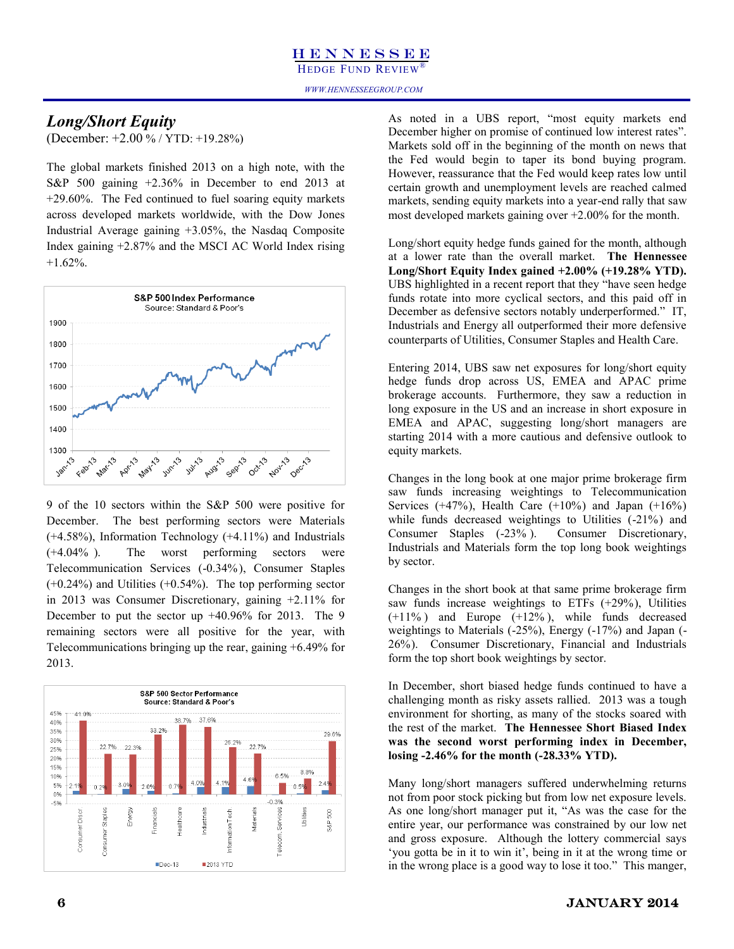HEDGE FUND REVIEW®

### *Long/Short Equity*

(December: +2.00 % / YTD: +19.28%)

The global markets finished 2013 on a high note, with the S&P 500 gaining +2.36% in December to end 2013 at +29.60%. The Fed continued to fuel soaring equity markets across developed markets worldwide, with the Dow Jones Industrial Average gaining +3.05%, the Nasdaq Composite Index gaining +2.87% and the MSCI AC World Index rising  $+1.62%$ .



9 of the 10 sectors within the S&P 500 were positive for December. The best performing sectors were Materials (+4.58%), Information Technology (+4.11%) and Industrials (+4.04% ). The worst performing sectors were Telecommunication Services (-0.34%), Consumer Staples (+0.24%) and Utilities (+0.54%). The top performing sector in 2013 was Consumer Discretionary, gaining +2.11% for December to put the sector up +40.96% for 2013. The 9 remaining sectors were all positive for the year, with Telecommunications bringing up the rear, gaining +6.49% for 2013.



As noted in a UBS report, "most equity markets end December higher on promise of continued low interest rates". Markets sold off in the beginning of the month on news that the Fed would begin to taper its bond buying program. However, reassurance that the Fed would keep rates low until certain growth and unemployment levels are reached calmed markets, sending equity markets into a year-end rally that saw most developed markets gaining over +2.00% for the month.

Long/short equity hedge funds gained for the month, although at a lower rate than the overall market. **The Hennessee Long/Short Equity Index gained +2.00% (+19.28% YTD).** UBS highlighted in a recent report that they "have seen hedge funds rotate into more cyclical sectors, and this paid off in December as defensive sectors notably underperformed." IT, Industrials and Energy all outperformed their more defensive counterparts of Utilities, Consumer Staples and Health Care.

Entering 2014, UBS saw net exposures for long/short equity hedge funds drop across US, EMEA and APAC prime brokerage accounts. Furthermore, they saw a reduction in long exposure in the US and an increase in short exposure in EMEA and APAC, suggesting long/short managers are starting 2014 with a more cautious and defensive outlook to equity markets.

Changes in the long book at one major prime brokerage firm saw funds increasing weightings to Telecommunication Services  $(+47%)$ , Health Care  $(+10%)$  and Japan  $(+16%)$ while funds decreased weightings to Utilities (-21%) and Consumer Staples (-23% ). Consumer Discretionary, Industrials and Materials form the top long book weightings by sector.

Changes in the short book at that same prime brokerage firm saw funds increase weightings to ETFs (+29%), Utilities  $(+11\%)$  and Europe  $(+12\%)$ , while funds decreased weightings to Materials (-25%), Energy (-17%) and Japan (- 26%). Consumer Discretionary, Financial and Industrials form the top short book weightings by sector.

In December, short biased hedge funds continued to have a challenging month as risky assets rallied. 2013 was a tough environment for shorting, as many of the stocks soared with the rest of the market. **The Hennessee Short Biased Index was the second worst performing index in December, losing -2.46% for the month (-28.33% YTD).**

Many long/short managers suffered underwhelming returns not from poor stock picking but from low net exposure levels. As one long/short manager put it, "As was the case for the entire year, our performance was constrained by our low net and gross exposure. Although the lottery commercial says "you gotta be in it to win it", being in it at the wrong time or in the wrong place is a good way to lose it too." This manger,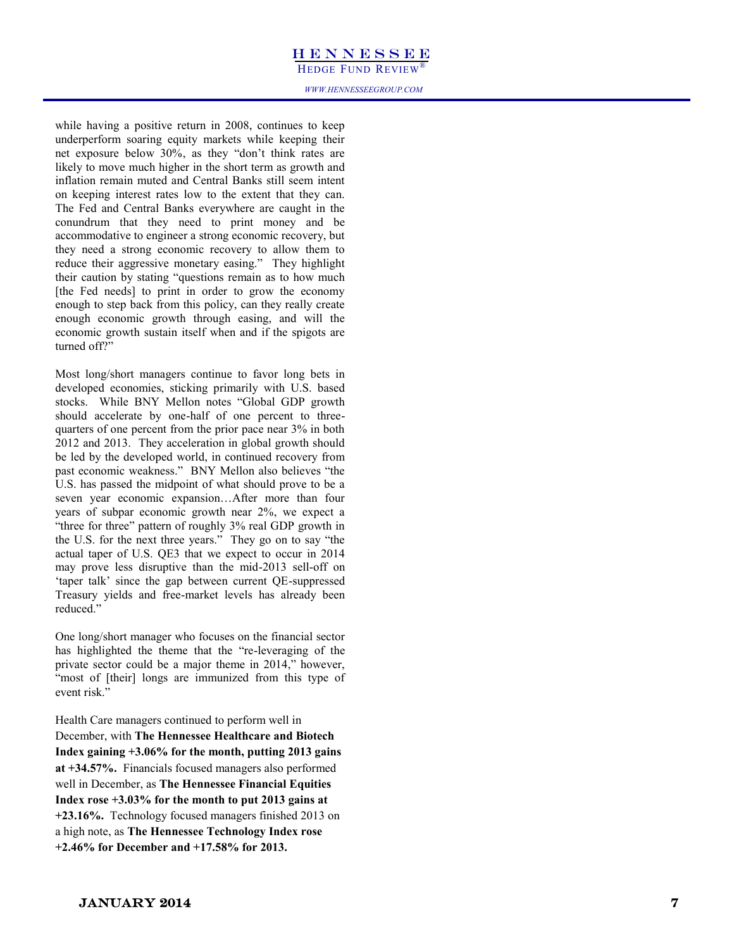**HEDGE FUND REVIEW®**<br>*WWW.HENNESSEEGROUP.COM* 

while having a positive return in 2008, continues to keep underperform soaring equity markets while keeping their net exposure below 30%, as they "don"t think rates are likely to move much higher in the short term as growth and inflation remain muted and Central Banks still seem intent on keeping interest rates low to the extent that they can. The Fed and Central Banks everywhere are caught in the conundrum that they need to print money and be accommodative to engineer a strong economic recovery, but they need a strong economic recovery to allow them to reduce their aggressive monetary easing." They highlight their caution by stating "questions remain as to how much [the Fed needs] to print in order to grow the economy enough to step back from this policy, can they really create enough economic growth through easing, and will the economic growth sustain itself when and if the spigots are turned off?"

Most long/short managers continue to favor long bets in developed economies, sticking primarily with U.S. based stocks. While BNY Mellon notes "Global GDP growth should accelerate by one-half of one percent to threequarters of one percent from the prior pace near 3% in both 2012 and 2013. They acceleration in global growth should be led by the developed world, in continued recovery from past economic weakness." BNY Mellon also believes "the U.S. has passed the midpoint of what should prove to be a seven year economic expansion…After more than four years of subpar economic growth near 2%, we expect a "three for three" pattern of roughly 3% real GDP growth in the U.S. for the next three years." They go on to say "the actual taper of U.S. QE3 that we expect to occur in 2014 may prove less disruptive than the mid -2013 sell -off on 'taper talk' since the gap between current QE-suppressed Treasury yields and free -market levels has already been reduced."

One long/short manager who focuses on the financial sector has highlighted the theme that the "re -leveraging of the private sector could be a major theme in 2014," however, "most of [their] longs are immunized from this type of event risk."

Health Care managers continued to perform well in December, with **The Hennessee Healthcare and Biotech Index gaining +3.06% for the month, putting 2013 gains at +34.57%.** Financials focused managers also performed well in December, as **The Hennessee Financial Equities Index rose +3.03% for the month to put 2013 gains at +23.16%.** Technology focused managers finished 2013 on a high note, as **The Hennessee Technology Index rose +2.46% for December and +17.58% for 2013.**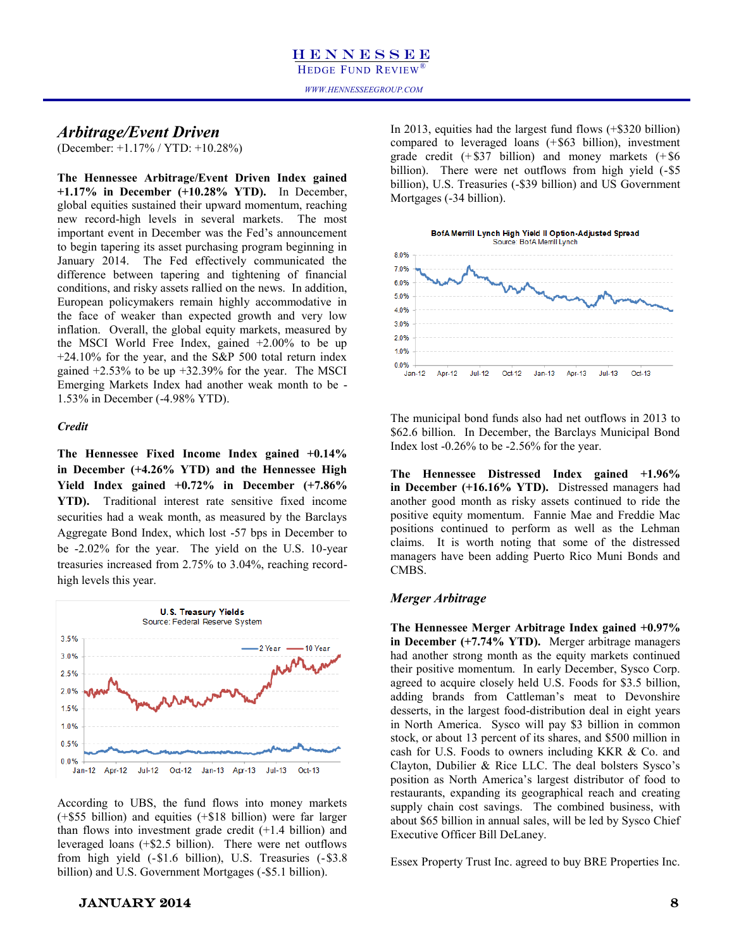### *Arbitrage/Event Driven*

(December: +1.17% / YTD: +10.28%)

**The Hennessee Arbitrage/Event Driven Index gained +1.17% in December (+10.28% YTD).** In December, global equities sustained their upward momentum, reaching new record-high levels in several markets. The most important event in December was the Fed's announcement to begin tapering its asset purchasing program beginning in January 2014. The Fed effectively communicated the difference between tapering and tightening of financial conditions, and risky assets rallied on the news. In addition, European policymakers remain highly accommodative in the face of weaker than expected growth and very low inflation. Overall, the global equity markets, measured by the MSCI World Free Index, gained +2.00% to be up +24.10% for the year, and the S&P 500 total return index gained  $+2.53\%$  to be up  $+32.39\%$  for the year. The MSCI Emerging Markets Index had another weak month to be - 1.53% in December (-4.98% YTD).

### *Credit*

**The Hennessee Fixed Income Index gained +0.14% in December (+4.26% YTD) and the Hennessee High Yield Index gained +0.72% in December (+7.86% YTD).** Traditional interest rate sensitive fixed income securities had a weak month, as measured by the Barclays Aggregate Bond Index, which lost -57 bps in December to be -2.02% for the year. The yield on the U.S. 10-year treasuries increased from 2.75% to 3.04%, reaching recordhigh levels this year.



According to UBS, the fund flows into money markets (+\$55 billion) and equities (+\$18 billion) were far larger than flows into investment grade credit (+1.4 billion) and leveraged loans (+\$2.5 billion). There were net outflows from high yield (-\$1.6 billion), U.S. Treasuries (-\$3.8 billion) and U.S. Government Mortgages (-\$5.1 billion).

In 2013, equities had the largest fund flows (+\$320 billion) compared to leveraged loans (+\$63 billion), investment grade credit  $(+\$37$  billion) and money markets  $(+\$6)$ billion). There were net outflows from high yield  $(-\$5)$ billion), U.S. Treasuries (-\$39 billion) and US Government Mortgages (-34 billion).



The municipal bond funds also had net outflows in 2013 to \$62.6 billion. In December, the Barclays Municipal Bond Index lost -0.26% to be -2.56% for the year.

**The Hennessee Distressed Index gained +1.96% in December (+16.16% YTD).** Distressed managers had another good month as risky assets continued to ride the positive equity momentum. Fannie Mae and Freddie Mac positions continued to perform as well as the Lehman claims. It is worth noting that some of the distressed managers have been adding Puerto Rico Muni Bonds and CMBS.

### *Merger Arbitrage*

**The Hennessee Merger Arbitrage Index gained +0.97% in December (+7.74% YTD).** Merger arbitrage managers had another strong month as the equity markets continued their positive momentum. In early December, Sysco Corp. agreed to acquire closely held U.S. Foods for \$3.5 billion, adding brands from Cattleman"s meat to Devonshire desserts, in the largest food-distribution deal in eight years in North America. Sysco will pay \$3 billion in common stock, or about 13 percent of its shares, and \$500 million in cash for U.S. Foods to owners including KKR & Co. and Clayton, Dubilier & Rice LLC. The deal bolsters Sysco"s position as North America"s largest distributor of food to restaurants, expanding its geographical reach and creating supply chain cost savings. The combined business, with about \$65 billion in annual sales, will be led by Sysco Chief Executive Officer Bill DeLaney.

Essex Property Trust Inc. agreed to buy BRE Properties Inc.

### $JANUARY 2014$  8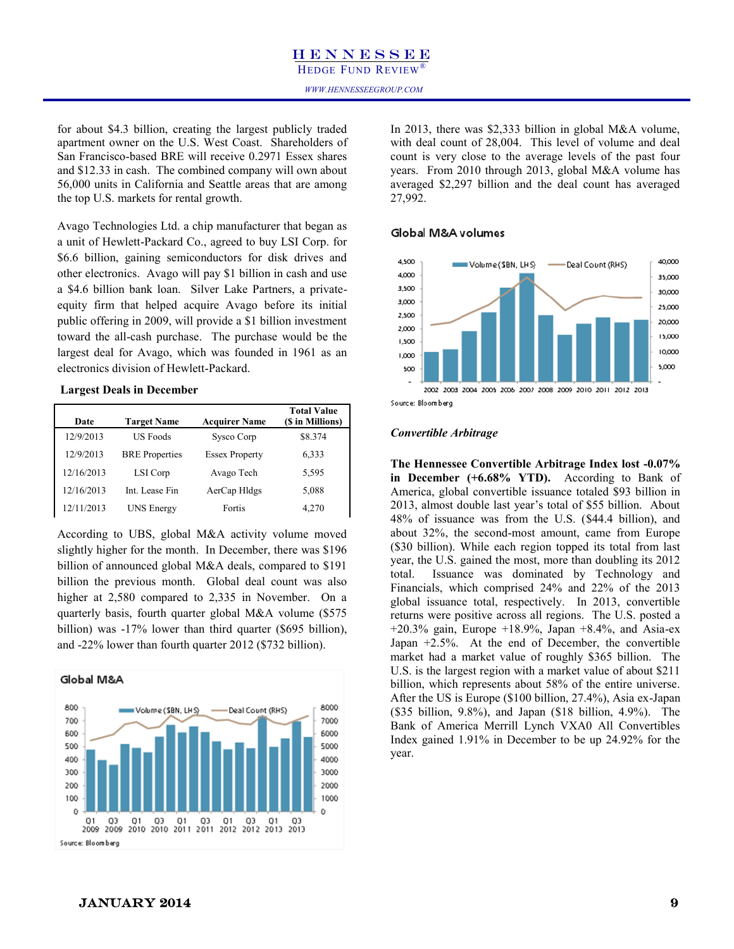### H E N N E S S E E HEDGE FUND REVIEW

for about \$4.3 billion, creating the largest publicly traded apartment owner on the U.S. West Coast. Shareholders of San Francisco-based BRE will receive 0.2971 Essex shares and \$12.33 in cash. The combined company will own about 56,000 units in California and Seattle areas that are among the top U.S. markets for rental growth.

Avago Technologies Ltd. a chip manufacturer that began as a unit of Hewlett-Packard Co., agreed to buy LSI Corp. for \$6.6 billion, gaining semiconductors for disk drives and other electronics. Avago will pay \$1 billion in cash and use a \$4.6 billion bank loan. Silver Lake Partners, a privateequity firm that helped acquire Avago before its initial public offering in 2009, will provide a \$1 billion investment toward the all-cash purchase. The purchase would be the largest deal for Avago, which was founded in 1961 as an electronics division of Hewlett-Packard.

### **Largest Deals in December**

| Date       | <b>Target Name</b>    | <b>Acquirer Name</b>  | <b>Total Value</b><br>(\$ in Millions) |
|------------|-----------------------|-----------------------|----------------------------------------|
| 12/9/2013  | <b>US Foods</b>       | Sysco Corp            | \$8.374                                |
| 12/9/2013  | <b>BRE</b> Properties | <b>Essex Property</b> | 6,333                                  |
| 12/16/2013 | LSI Corp              | Avago Tech            | 5,595                                  |
| 12/16/2013 | Int. Lease Fin        | AerCap Hldgs          | 5,088                                  |
| 12/11/2013 | <b>UNS Energy</b>     | Fortis                | 4,270                                  |

According to UBS, global M&A activity volume moved slightly higher for the month. In December, there was \$196 billion of announced global M&A deals, compared to \$191 billion the previous month. Global deal count was also higher at 2,580 compared to 2,335 in November. On a quarterly basis, fourth quarter global M&A volume (\$575 billion) was -17% lower than third quarter (\$695 billion), and -22% lower than fourth quarter 2012 (\$732 billion).

### Global M&A



In 2013, there was \$2,333 billion in global M&A volume, with deal count of 28,004. This level of volume and deal count is very close to the average levels of the past four years. From 2010 through 2013, global M&A volume has averaged \$2,297 billion and the deal count has averaged 27,992.

### Global M&A volumes



### *Convertible Arbitrage*

**The Hennessee Convertible Arbitrage Index lost -0.07% in December (+6.68% YTD).** According to Bank of America, global convertible issuance totaled \$93 billion in 2013, almost double last year"s total of \$55 billion. About 48% of issuance was from the U.S. (\$44.4 billion), and about 32%, the second-most amount, came from Europe (\$30 billion). While each region topped its total from last year, the U.S. gained the most, more than doubling its 2012 total. Issuance was dominated by Technology and Financials, which comprised 24% and 22% of the 2013 global issuance total, respectively. In 2013, convertible returns were positive across all regions. The U.S. posted a  $+20.3\%$  gain, Europe  $+18.9\%$ , Japan  $+8.4\%$ , and Asia-ex Japan +2.5%. At the end of December, the convertible market had a market value of roughly \$365 billion. The U.S. is the largest region with a market value of about \$211 billion, which represents about 58% of the entire universe. After the US is Europe (\$100 billion, 27.4%), Asia ex-Japan (\$35 billion, 9.8%), and Japan (\$18 billion, 4.9%). The Bank of America Merrill Lynch VXA0 All Convertibles Index gained 1.91% in December to be up 24.92% for the year.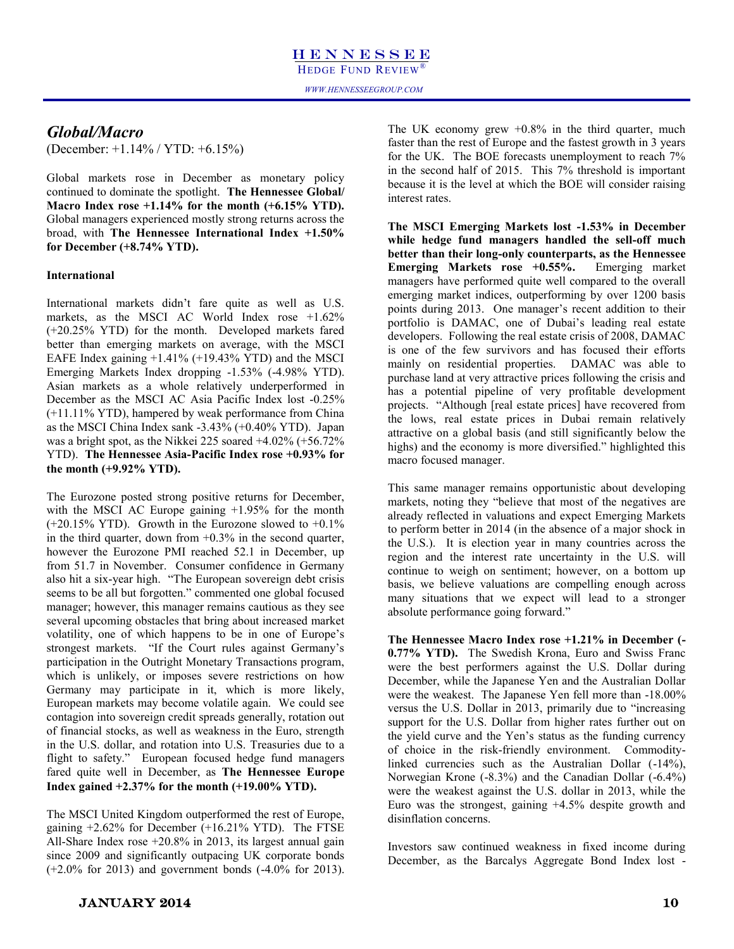### *Global/Macro*

(December: +1.14% / YTD: +6.15%)

Global markets rose in December as monetary policy continued to dominate the spotlight. **The Hennessee Global/ Macro Index rose +1.14% for the month (+6.15% YTD).** Global managers experienced mostly strong returns across the broad, with **The Hennessee International Index +1.50% for December (+8.74% YTD).**

### **International**

International markets didn"t fare quite as well as U.S. markets, as the MSCI AC World Index rose +1.62% (+20.25% YTD) for the month. Developed markets fared better than emerging markets on average, with the MSCI EAFE Index gaining +1.41% (+19.43% YTD) and the MSCI Emerging Markets Index dropping -1.53% (-4.98% YTD). Asian markets as a whole relatively underperformed in December as the MSCI AC Asia Pacific Index lost -0.25% (+11.11% YTD), hampered by weak performance from China as the MSCI China Index sank -3.43% (+0.40% YTD). Japan was a bright spot, as the Nikkei 225 soared +4.02% (+56.72% YTD). **The Hennessee Asia-Pacific Index rose +0.93% for the month (+9.92% YTD).**

The Eurozone posted strong positive returns for December, with the MSCI AC Europe gaining +1.95% for the month  $(+20.15\%$  YTD). Growth in the Eurozone slowed to  $+0.1\%$ in the third quarter, down from  $+0.3\%$  in the second quarter, however the Eurozone PMI reached 52.1 in December, up from 51.7 in November. Consumer confidence in Germany also hit a six-year high. "The European sovereign debt crisis seems to be all but forgotten." commented one global focused manager; however, this manager remains cautious as they see several upcoming obstacles that bring about increased market volatility, one of which happens to be in one of Europe"s strongest markets. "If the Court rules against Germany"s participation in the Outright Monetary Transactions program, which is unlikely, or imposes severe restrictions on how Germany may participate in it, which is more likely, European markets may become volatile again. We could see contagion into sovereign credit spreads generally, rotation out of financial stocks, as well as weakness in the Euro, strength in the U.S. dollar, and rotation into U.S. Treasuries due to a flight to safety."European focused hedge fund managers fared quite well in December, as **The Hennessee Europe Index gained +2.37% for the month (+19.00% YTD).**

The MSCI United Kingdom outperformed the rest of Europe, gaining  $+2.62\%$  for December  $(+16.21\%$  YTD). The FTSE All-Share Index rose +20.8% in 2013, its largest annual gain since 2009 and significantly outpacing UK corporate bonds  $(+2.0\% \text{ for } 2013)$  and government bonds  $(-4.0\% \text{ for } 2013)$ .

The UK economy grew  $+0.8\%$  in the third quarter, much faster than the rest of Europe and the fastest growth in 3 years for the UK. The BOE forecasts unemployment to reach 7% in the second half of 2015. This 7% threshold is important because it is the level at which the BOE will consider raising interest rates.

**The MSCI Emerging Markets lost -1.53% in December while hedge fund managers handled the sell-off much better than their long-only counterparts, as the Hennessee Emerging Markets rose +0.55%.** Emerging market managers have performed quite well compared to the overall emerging market indices, outperforming by over 1200 basis points during 2013. One manager's recent addition to their portfolio is DAMAC, one of Dubai"s leading real estate developers. Following the real estate crisis of 2008, DAMAC is one of the few survivors and has focused their efforts mainly on residential properties. DAMAC was able to purchase land at very attractive prices following the crisis and has a potential pipeline of very profitable development projects. "Although [real estate prices] have recovered from the lows, real estate prices in Dubai remain relatively attractive on a global basis (and still significantly below the highs) and the economy is more diversified." highlighted this macro focused manager.

This same manager remains opportunistic about developing markets, noting they "believe that most of the negatives are already reflected in valuations and expect Emerging Markets to perform better in 2014 (in the absence of a major shock in the U.S.). It is election year in many countries across the region and the interest rate uncertainty in the U.S. will continue to weigh on sentiment; however, on a bottom up basis, we believe valuations are compelling enough across many situations that we expect will lead to a stronger absolute performance going forward."

**The Hennessee Macro Index rose +1.21% in December (- 0.77% YTD).** The Swedish Krona, Euro and Swiss Franc were the best performers against the U.S. Dollar during December, while the Japanese Yen and the Australian Dollar were the weakest. The Japanese Yen fell more than -18.00% versus the U.S. Dollar in 2013, primarily due to "increasing support for the U.S. Dollar from higher rates further out on the yield curve and the Yen"s status as the funding currency of choice in the risk-friendly environment. Commoditylinked currencies such as the Australian Dollar (-14%), Norwegian Krone (-8.3%) and the Canadian Dollar (-6.4%) were the weakest against the U.S. dollar in 2013, while the Euro was the strongest, gaining +4.5% despite growth and disinflation concerns.

Investors saw continued weakness in fixed income during December, as the Barcalys Aggregate Bond Index lost -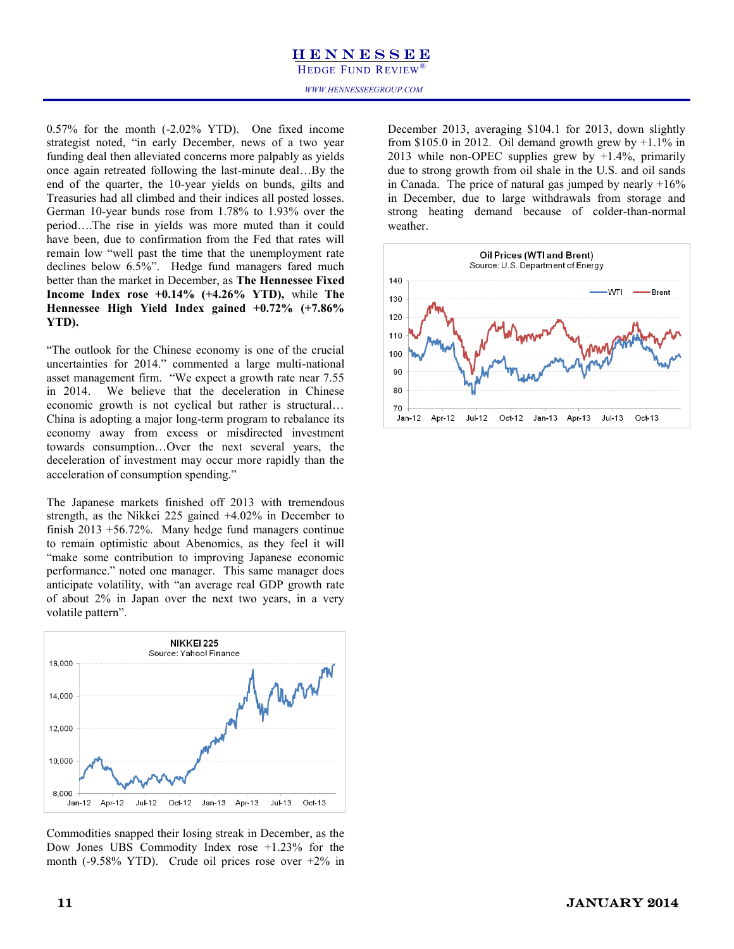HEDGE FUND REVIEW

0.57% for the month (-2.02% YTD). One fixed income strategist noted, "in early December, news of a two year funding deal then alleviated concerns more palpably as yields once again retreated following the last-minute deal…By the end of the quarter, the 10-year yields on bunds, gilts and Treasuries had all climbed and their indices all posted losses. German 10-year bunds rose from 1.78% to 1.93% over the period….The rise in yields was more muted than it could have been, due to confirmation from the Fed that rates will remain low "well past the time that the unemployment rate declines below 6.5%". Hedge fund managers fared much better than the market in December, as **The Hennessee Fixed Income Index rose +0.14% (+4.26% YTD),** while **The Hennessee High Yield Index gained +0.72% (+7.86% YTD).**

"The outlook for the Chinese economy is one of the crucial uncertainties for 2014." commented a large multi-national asset management firm. "We expect a growth rate near 7.55 in 2014. We believe that the deceleration in Chinese economic growth is not cyclical but rather is structural… China is adopting a major long-term program to rebalance its economy away from excess or misdirected investment towards consumption…Over the next several years, the deceleration of investment may occur more rapidly than the acceleration of consumption spending."

The Japanese markets finished off 2013 with tremendous strength, as the Nikkei 225 gained +4.02% in December to finish 2013 +56.72%. Many hedge fund managers continue to remain optimistic about Abenomics, as they feel it will "make some contribution to improving Japanese economic performance." noted one manager. This same manager does anticipate volatility, with "an average real GDP growth rate of about 2% in Japan over the next two years, in a very volatile pattern".



Commodities snapped their losing streak in December, as the Dow Jones UBS Commodity Index rose +1.23% for the month (-9.58% YTD). Crude oil prices rose over +2% in

December 2013, averaging \$104.1 for 2013, down slightly from \$105.0 in 2012. Oil demand growth grew by  $+1.1\%$  in 2013 while non-OPEC supplies grew by  $+1.4\%$ , primarily due to strong growth from oil shale in the U.S. and oil sands in Canada. The price of natural gas jumped by nearly  $+16\%$ in December, due to large withdrawals from storage and strong heating demand because of colder-than-normal weather.



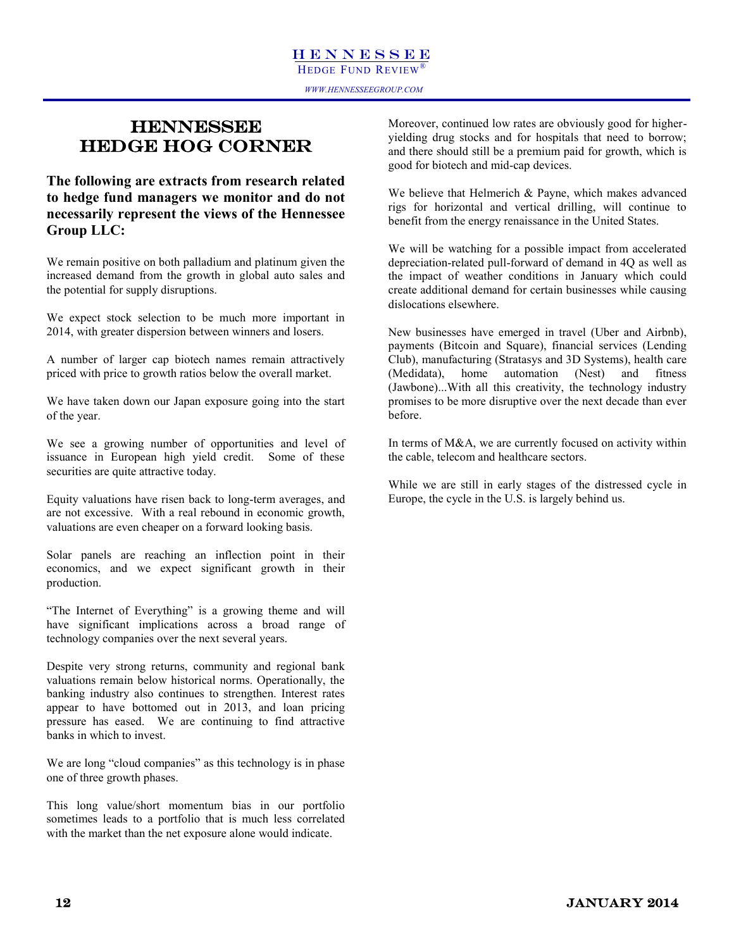### **HENNESSEE** HEDGE HOG CORNER

**The following are extracts from research related to hedge fund managers we monitor and do not necessarily represent the views of the Hennessee Group LLC:**

We remain positive on both palladium and platinum given the increased demand from the growth in global auto sales and the potential for supply disruptions.

We expect stock selection to be much more important in 2014, with greater dispersion between winners and losers.

A number of larger cap biotech names remain attractively priced with price to growth ratios below the overall market.

We have taken down our Japan exposure going into the start of the year.

We see a growing number of opportunities and level of issuance in European high yield credit. Some of these securities are quite attractive today.

Equity valuations have risen back to long-term averages, and are not excessive. With a real rebound in economic growth, valuations are even cheaper on a forward looking basis.

Solar panels are reaching an inflection point in their economics, and we expect significant growth in their production.

"The Internet of Everything" is a growing theme and will have significant implications across a broad range of technology companies over the next several years.

Despite very strong returns, community and regional bank valuations remain below historical norms. Operationally, the banking industry also continues to strengthen. Interest rates appear to have bottomed out in 2013, and loan pricing pressure has eased. We are continuing to find attractive banks in which to invest.

We are long "cloud companies" as this technology is in phase one of three growth phases.

This long value/short momentum bias in our portfolio sometimes leads to a portfolio that is much less correlated with the market than the net exposure alone would indicate.

Moreover, continued low rates are obviously good for higheryielding drug stocks and for hospitals that need to borrow; and there should still be a premium paid for growth, which is good for biotech and mid-cap devices.

We believe that Helmerich & Payne, which makes advanced rigs for horizontal and vertical drilling, will continue to benefit from the energy renaissance in the United States.

We will be watching for a possible impact from accelerated depreciation-related pull-forward of demand in 4Q as well as the impact of weather conditions in January which could create additional demand for certain businesses while causing dislocations elsewhere.

New businesses have emerged in travel (Uber and Airbnb), payments (Bitcoin and Square), financial services (Lending Club), manufacturing (Stratasys and 3D Systems), health care (Medidata), home automation (Nest) and fitness (Jawbone)...With all this creativity, the technology industry promises to be more disruptive over the next decade than ever before.

In terms of M&A, we are currently focused on activity within the cable, telecom and healthcare sectors.

While we are still in early stages of the distressed cycle in Europe, the cycle in the U.S. is largely behind us.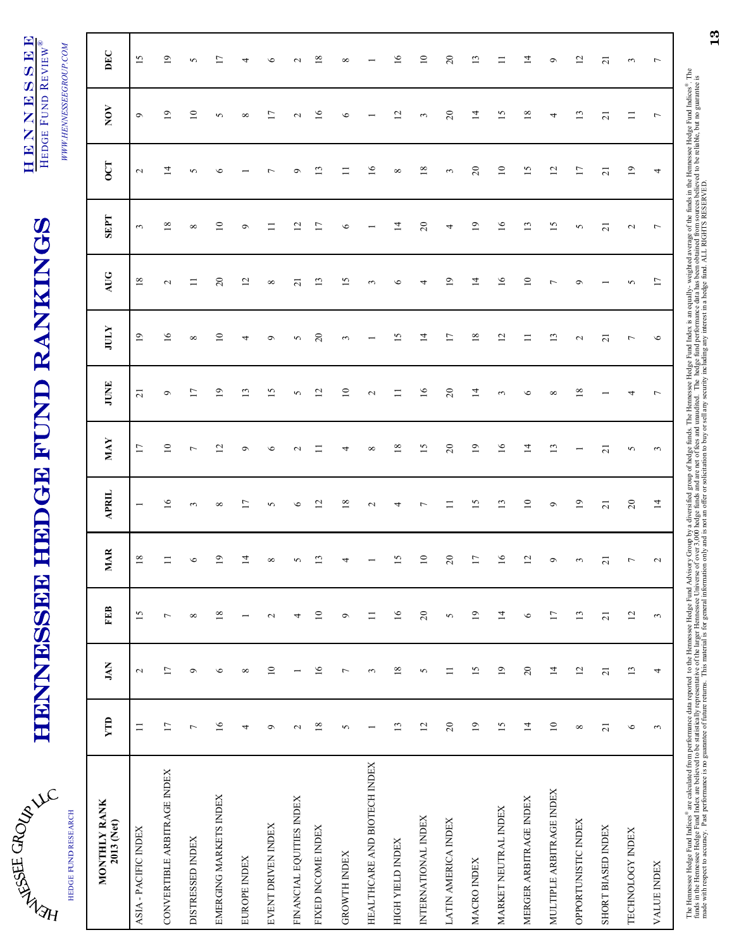| ć                        |
|--------------------------|
| تا                       |
|                          |
| $\mathfrak{h}$<br>Þ<br>ł |

HEDGE FUND RESEARCH

HEDGE FUND RESEARCH

# **HENNINSSEE HEDGE FUND RANKINGS** HENNESSEE HEDGE FUND RANKINGS

HENNESSE **H E N N E S S E E**<br>Frage Eine Bruitw<sup>e</sup> HEDGE FUND REVIEW® HEDGE FUND REVIEW®

WWW.HENNESSEEGROUP.COM *WWW.HENNESSEEGROUP.COM*

| MONTHLY RANK<br>2013 (Net)   | YTD             | JAN             | <b>FEB</b>      | <b>MAR</b>      | <b>APRIL</b>             | <b>MAY</b>      | JUNE            | <b>ATILE</b>    | AUG                      | <b>SEPT</b>             | <b>OCT</b>      | $_{\rm NOV}$             | DEC                      |
|------------------------------|-----------------|-----------------|-----------------|-----------------|--------------------------|-----------------|-----------------|-----------------|--------------------------|-------------------------|-----------------|--------------------------|--------------------------|
| ASIA - PACIFIC INDEX         | $\equiv$        | $\sim$          | 15              | $18\,$          | $\overline{\phantom{0}}$ | $\overline{17}$ | $\overline{21}$ | $\overline{19}$ | $18\,$                   | $\mathfrak{g}$          | $\mathbf{c}$    | $\bullet$                | 15                       |
| CONVERTIBLE ARBITRAGE INDEX  | 17              | $\overline{17}$ | $\overline{ }$  | $\equiv$        | 16                       | $10\,$          | $\sigma$        | 16              | $\mathbf{\sim}$          | 18                      | $\overline{14}$ | $\overline{19}$          | 19                       |
| <b>DISTRESSED INDEX</b>      | $\overline{ }$  | $\circ$         | $\infty$        | $\circ$         | 3                        | $\overline{ }$  | $\overline{1}$  | $\infty$        | $\equiv$                 | ${}^{\circ}$            | 5               | $\overline{10}$          | $\sim$                   |
| EMERGING MARKETS INDEX       | $\overline{16}$ | $\circ$         | $18\,$          | 2               | ${}^{\circ}$             | $\overline{c}$  | $\overline{0}$  | $\supseteq$     | $\overline{c}$           | $\Xi$                   | ७               | 5                        | $\overline{\phantom{0}}$ |
| EUROPE INDEX                 | 4               | $\infty$        | $\overline{ }$  | $\overline{4}$  | $\overline{\phantom{0}}$ | $\sigma$        | 13              | 4               | 12                       | ٩                       |                 | ${}^{\circ}$             | 4                        |
| EVENT DRIVEN INDEX           | $\circ$         | $10$            | $\sim$          | ${}^{\infty}$   | 5                        | $\circ$         | $\overline{15}$ | $\circ$         | ${}^{\circ}$             |                         |                 | $\overline{1}$           | $\circ$                  |
| FINANCIAL EQUITIES INDEX     | $\mathbf{C}$    |                 | 4               | 5               | $\circ$                  | $\sim$          | 5               | 5               | $\overline{\mathcal{L}}$ | $\overline{\mathbf{C}}$ | ۰               | $\sim$                   | $\mathbf{\sim}$          |
| FIXED INCOME INDEX           | $18\,$          | $\overline{16}$ | $\Xi$           | $\mathbf{r}$    | $\overline{c}$           |                 | $\overline{c}$  | $\overline{c}$  | 13                       | $\overline{17}$         | $\mathbf{r}$    | $\overline{16}$          | $\overline{18}$          |
| <b>GROWTH INDEX</b>          | 5               | $\overline{ }$  | $\circ$         | 4               | $18\,$                   | 4               | $\overline{10}$ | 3               | 15                       | 6                       | $\Xi$           | $\circ$                  | $\infty$                 |
| HEALTHCARE AND BIOTECH INDEX |                 | 3               | $\Box$          |                 | $\mathbf{\sim}$          | ${}^{\circ}$    | $\mathbb{C}^2$  |                 | 3                        |                         | $\tilde{1}$     |                          |                          |
| HIGH YIELD INDEX             | 13              | $18\,$          | $16$            | $\overline{15}$ | ᅿ                        | $18\,$          | $\equiv$        | $\overline{15}$ | ৩                        | $\vec{a}$               | ${}^{\circ}$    | $\overline{c}$           | 16                       |
| INTERNATIONAL INDEX          | 12              | 5               | $20\,$          | $10$            |                          | 15              | 16              | $\overline{1}$  |                          | $\overline{c}$          | $\overline{18}$ | 3                        | $\overline{10}$          |
| LATIN AMERICA INDEX          | $20\,$          | $\equiv$        | $\sim$          | $20$            | ニ                        | $\overline{c}$  | $\overline{c}$  | 17              | $\overline{19}$          | 4                       | 3               | $\overline{c}$           | $\overline{c}$           |
| MACRO INDEX                  | $\overline{19}$ | $\overline{15}$ | $\overline{19}$ | $17\,$          | 15                       | $\overline{19}$ | $\overline{4}$  | $\overline{18}$ | $\vec{a}$                | $\overline{19}$         | $\overline{c}$  | $\overline{1}$           | $\overline{13}$          |
| MARKET NEUTRAL INDEX         | 15              | $\overline{19}$ | $\overline{1}$  | $\overline{16}$ | $\mathbf{L}$             | $16$            | 3               | 12              | 16                       | 16                      | $\overline{10}$ | 15                       | $\equiv$                 |
| MERGER ARBITRAGE INDEX       | $\overline{1}$  | $20\,$          | $\circ$         | $\overline{c}$  | $\overline{10}$          | $14$            | $\circ$         | $\equiv$        | $\overline{10}$          | 13                      | 15              | 18                       | $\overline{14}$          |
| MULTIPLE ARBITRAGE INDEX     | $10\,$          | $\overline{1}$  | 17              | $\circ$         | $\circ$                  | 13              | ${}^{\circ}$    | 13              | Γ                        | 15                      | 12              | 4                        | $\circ$                  |
| OPPORTUNISTIC INDEX          | ${}^{\infty}$   | $\overline{c}$  | 13              | 3               | $\overline{19}$          |                 | $\overline{18}$ | $\mathbf{\sim}$ | σ                        | $\sim$                  | 17              | 13                       | 12                       |
| <b>SHORT BIASED INDEX</b>    | $\overline{21}$ | $\overline{21}$ | $\overline{21}$ | $\overline{c}$  | $\overline{21}$          | $\overline{c}$  |                 | $\overline{c}$  |                          | $\overline{2}1$         | $\overline{21}$ | $\overline{21}$          | $\overline{c}$           |
| TECHNOLOGY INDEX             | $\circ$         | 13              | 12              | $\overline{ }$  | $20\,$                   | $\sim$          |                 | $\overline{ }$  | 5                        | $\mathbf{c}$            | 19              | ニ                        | $\epsilon$               |
| VALUE INDEX                  | 3               | 4               | $\epsilon$      | $\mathbf{\sim}$ | 14                       | $\sim$          | $\overline{ }$  | $\circ$         | $\overline{17}$          | $\overline{ }$          | 4               | $\overline{\phantom{a}}$ | $\overline{ }$           |

The Hemessee Hedge Fund Indices® are calculated from performance data reported to the Hedge Fund Advisory Group by a diversified group of hedge funds. The Hemessee Hedge Fund Index is an equally- weighted average of the fu The Hennessee Hedge Fund Indices® are cakulated from performance data report data to the Hedge Fund Advisory Group by a diversified group of hedge funds. The Hennessee Hedge Fund Index is an equally- weighted average of th funds in the Hemessee Hedge Fund Index are believed to be statistically representlife of the larger Hemessee Universe of over 5,000 hedge fund and are net of thes and unaudited. The hedge fund performance data has been obt made with respect to accuracy. Past performance is no guarantee of future returns. This material is for general information only and is not an offer or solicitation to buy or sell any security including any interest in a h

13